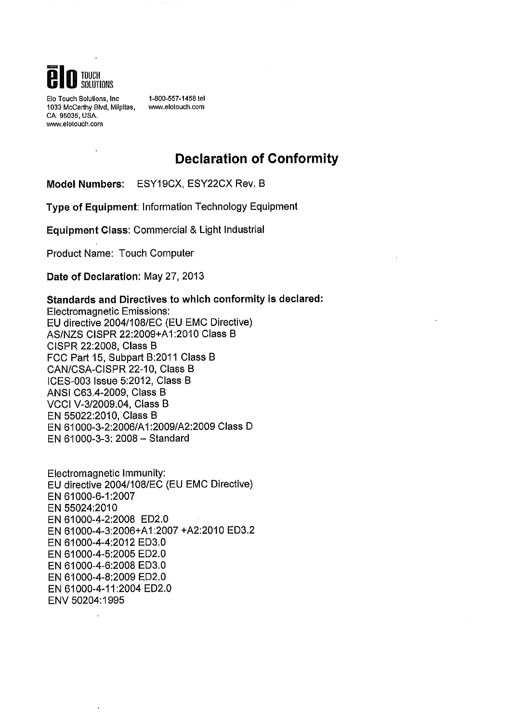

Elo Touch Solutions, Inc. 1033 McCarthy Blvd, Milpitas, CA 95035, USA. www.elotouch.com

 $\ddot{\phantom{1}}$ 

1-800-557-1458 tel www.elotouch.com

## **Declaration of Conformity**

Model Numbers: ESY19CX, ESY22CX Rev. B

Type of Equipment: Information Technology Equipment

Equipment Class: Commercial & Light Industrial

Product Name: Touch Computer

Date of Declaration: May 27, 2013

### Standards and Directives to which conformity is declared:

**Electromagnetic Emissions:** EU directive 2004/108/EC (EU EMC Directive) AS/NZS CISPR 22:2009+A1:2010 Class B CISPR 22:2008, Class B FCC Part 15, Subpart B:2011 Class B CAN/CSA-CISPR 22-10, Class B ICES-003 Issue 5:2012, Class B ANSI C63.4-2009, Class B VCCI V-3/2009.04, Class B EN 55022:2010, Class B EN 61000-3-2:2006/A1:2009/A2:2009 Class D EN 61000-3-3: 2008 - Standard

Electromagnetic Immunity: EU directive 2004/108/EC (EU EMC Directive) EN 61000-6-1:2007 EN 55024:2010 EN 61000-4-2:2008 ED2.0 EN 61000-4-3:2006+A1:2007 +A2:2010 ED3.2 EN 61000-4-4:2012 ED3.0 EN 61000-4-5:2005 ED2.0 EN 61000-4-6:2008 ED3.0 EN 61000-4-8:2009 ED2.0 EN 61000-4-11:2004 ED2.0 ENV 50204:1995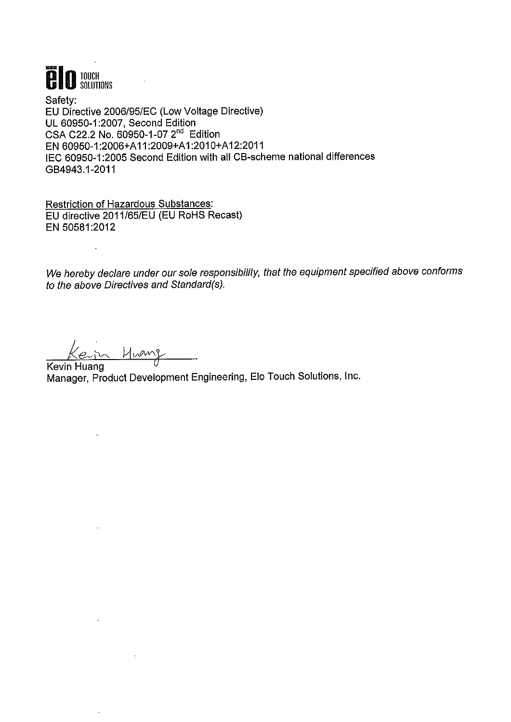

Safetv: EU Directive 2006/95/EC (Low Voltage Directive) UL 60950-1:2007, Second Edition CSA C22.2 No. 60950-1-07 2<sup>nd</sup> Edition EN 60950-1:2006+A11:2009+A1:2010+A12:2011 IEC 60950-1:2005 Second Edition with all CB-scheme national differences GB4943.1-2011

**Restriction of Hazardous Substances:** EU directive 2011/65/EU (EU RoHS Recast) EN 50581:2012

We hereby declare under our sole responsibility, that the equipment specified above conforms to the above Directives and Standard(s).

n Huang

 $\ddot{\phantom{0}}$ 

 $\ddot{\phantom{a}}$ 

Kevin Huang Manager, Product Development Engineering, Elo Touch Solutions, Inc.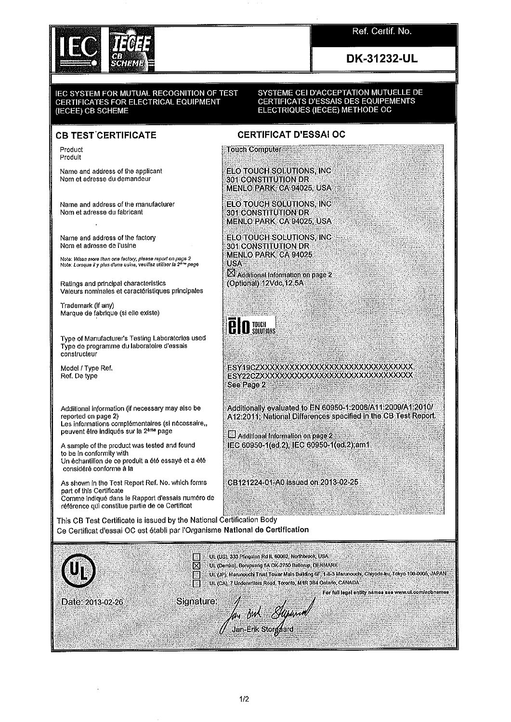

Ref. Certif. No.

## DK-31232-UL

#### IEC SYSTEM FOR MUTUAL RECOGNITION OF TEST CERTIFICATES FOR ELECTRICAL EQUIPMENT (IECEE) CB SCHEME

#### SYSTEME CEI D'ACCEPTATION MUTUELLE DE CERTIFICATS D'ESSAIS DES EQUIPEMENTS ELECTRIQUES (IECEE) METHODE OC

### **CB TEST CERTIFICATE**

Product Produit

Name and address of the applicant Nom et adresse du demandeur

Name and address of the manufacturer Nom et adresse du fabricant

Name and address of the factory Nom et adresse de l'usine

Note: When more than one factory, please report on page 2<br>Note: Lorsque il y plus d'une usine, veuillez utiliser la 2ª™ page

Ratings and principal characteristics Valeurs nominales et caractéristiques principales

Trademark (if any) Marque de fabrique (si elle existe)

Type of Manufacturer's Testing Laboratories used Type de programme du laboratoire d'essais constructeur

Model / Type Ref. Ref. De type

Additional information (if necessary may also be reported on page 2) Les informations complémentaires (si nécessaire., peuvent être indiqués sur la 2ème page

A sample of the product was tested and found to be in conformity with Un échantillon de ce produit a été essayé et a été considéré conforme à la

As shown in the Test Report Ref. No. which forms part of this Certificate Comme indiqué dans le Rapport d'essais numéro de référence qui constitue partie de ce Certificat

### **CERTIFICAT D'ESSAI OC**

**Touch Computer** 

**ELO TOUCH SOLUTIONS, INC** 301 CONSTITUTION DR MENLO PARK, CA 94025, USA

**ELO TOUCH SOLUTIONS, INC** 301 CONSTITUTION DR MENLO PARK, CA 94025, USA

ELO TOUCH SOLUTIONS, ING 301 CONSTITUTION DR **MENLO PARK, CA 94025 USA** 

Additional Information on page 2 (Optional) 12Vdc, 12.5A

 $\overline{e}$   $\overline{0}$  touch  $\overline{e}$ 

ESY19CZXXXXXXXXXXXXXXXXXXXXXXXXXXXXXXX ESY22CZXXXXXXXXXXXXXXXXXXXXXXXXXXXXXXX See Page 2

Additionally evaluated to EN 60950-1:2006/A11:2009/A1:2010/ A12:2011; National Differences specified in the CB Test Report.

Additional Information on page 2 IEC 60950-1(ed.2), IEC 60950-1(ed.2);am1

CB121224-01-A0 issued on 2013-02-25

This CB Test Certificate is issued by the National Certification Body Ce Certificat d'essai OC est établi par l'Organisme National de Certification

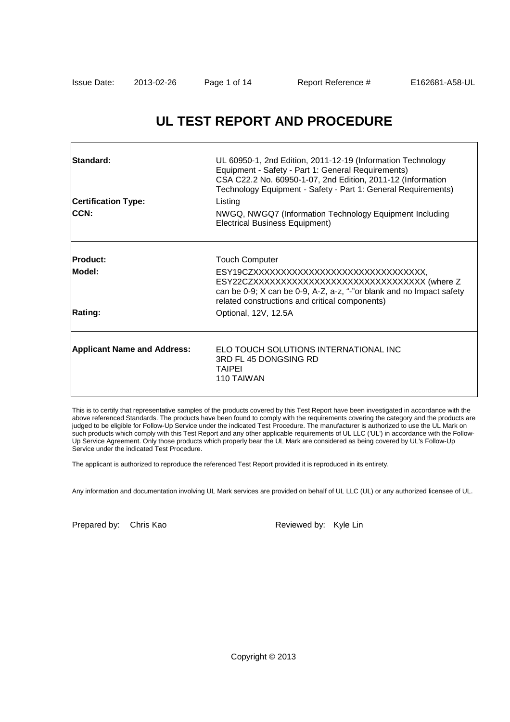## **UL TEST REPORT AND PROCEDURE**

| Standard:<br><b>Certification Type:</b><br>CCN: | UL 60950-1, 2nd Edition, 2011-12-19 (Information Technology<br>Equipment - Safety - Part 1: General Requirements)<br>CSA C22.2 No. 60950-1-07, 2nd Edition, 2011-12 (Information<br>Technology Equipment - Safety - Part 1: General Requirements)<br>Listing<br>NWGQ, NWGQ7 (Information Technology Equipment Including<br><b>Electrical Business Equipment)</b> |
|-------------------------------------------------|------------------------------------------------------------------------------------------------------------------------------------------------------------------------------------------------------------------------------------------------------------------------------------------------------------------------------------------------------------------|
| <b>IProduct:</b><br>Model:<br><b>Rating:</b>    | <b>Touch Computer</b><br>ESY19CZXXXXXXXXXXXXXXXXXXXXXXXXXXXXXXXX,<br>ESY22CZXXXXXXXXXXXXXXXXXXXXXXXXXXXXXXX (where Z<br>can be 0-9; X can be 0-9, A-Z, a-z, "-"or blank and no Impact safety<br>related constructions and critical components)<br>Optional, 12V, 12.5A                                                                                           |
| <b>Applicant Name and Address:</b>              | ELO TOUCH SOLUTIONS INTERNATIONAL INC<br>3RD FL 45 DONGSING RD<br><b>TAIPEI</b><br>110 TAIWAN                                                                                                                                                                                                                                                                    |

This is to certify that representative samples of the products covered by this Test Report have been investigated in accordance with the above referenced Standards. The products have been found to comply with the requirements covering the category and the products are judged to be eligible for Follow-Up Service under the indicated Test Procedure. The manufacturer is authorized to use the UL Mark on such products which comply with this Test Report and any other applicable requirements of UL LLC ('UL') in accordance with the Follow-Up Service Agreement. Only those products which properly bear the UL Mark are considered as being covered by UL's Follow-Up Service under the indicated Test Procedure.

The applicant is authorized to reproduce the referenced Test Report provided it is reproduced in its entirety.

Any information and documentation involving UL Mark services are provided on behalf of UL LLC (UL) or any authorized licensee of UL.

Prepared by: Chris Kao Reviewed by: Kyle Lin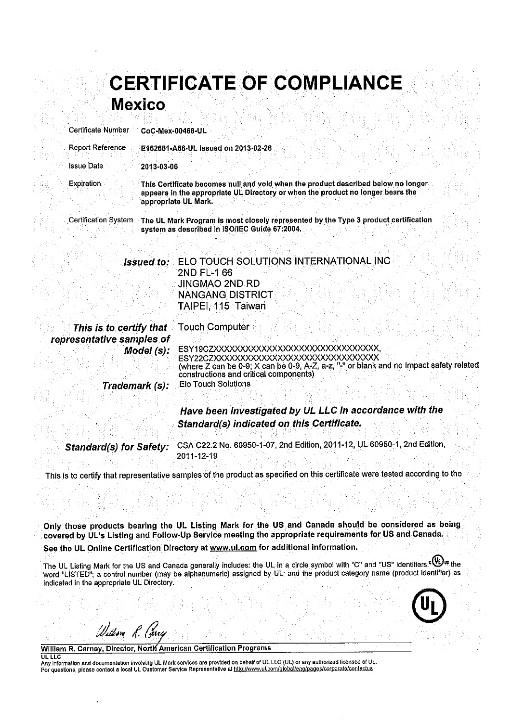|                 |                     |  | <b>CERTIFICATE OF COMPLIANCE</b> |  |
|-----------------|---------------------|--|----------------------------------|--|
|                 |                     |  |                                  |  |
|                 | <b>Mexico</b>       |  |                                  |  |
|                 |                     |  |                                  |  |
|                 |                     |  |                                  |  |
| tificate Number | $CoC$ -Mex-00468-UL |  |                                  |  |

| Certificate Number                                   | CoC-Mex-00468-UL                                                                                                                                                                                                                                                             |
|------------------------------------------------------|------------------------------------------------------------------------------------------------------------------------------------------------------------------------------------------------------------------------------------------------------------------------------|
| Report Reference                                     | E162681-A58-UL issued on 2013-02-26                                                                                                                                                                                                                                          |
| <b>Issue Date</b>                                    | 2013-03-06                                                                                                                                                                                                                                                                   |
| Expiration.                                          | This Certificate becomes null and vold when the product described below no longer<br>appears in the appropriate UL Directory or when the product no longer bears the<br>appropriate UL Mark.                                                                                 |
| <b>Certification System</b>                          | The UL Mark Program is most closely represented by the Type 3 product certification<br>system as described in ISO/IEC Guide 67:2004.                                                                                                                                         |
|                                                      | ELO TOUCH SOLUTIONS INTERNATIONAL INC<br><b>Issued to:</b><br><b>2ND FL-1 66</b>                                                                                                                                                                                             |
|                                                      | JINGMAO 2ND RD<br><b>NANGANG DISTRICT</b><br>TAIPEI 115 Taiwan                                                                                                                                                                                                               |
| This is to certify that<br>representative samples of | Touch Computer                                                                                                                                                                                                                                                               |
|                                                      | ESY19CZXXXXXXXXXXXXXXXXXXXXXXXXXXXXXXXX<br>Model (s):<br>ESY22CZXXXXXXXXXXXXXXXXXXXXXXXXXXXXXXX<br>(where Z can be 0-9; X can be 0-9, A-Z, a-z, "-" or blank and no Impact safety related<br>constructions and critical components)<br>Elo Touch Solutions<br>Trademark (s): |
|                                                      | Have been investigated by UL LLC in accordance with the<br>Standard(s) indicated on this Certificate.                                                                                                                                                                        |

CSA C22.2 No. 60950-1-07, 2nd Edition, 2011-12, UL 60950-1, 2nd Edition, **Standard(s) for Safety:** 2011-12-19

This is to certify that representative samples of the product as specified on this certificate were tested according to the

Only those products bearing the UL Listing Mark for the US and Canada should be considered as being covered by UL's Listing and Follow-Up Service meeting the appropriate requirements for US and Canada. See the UL Online Certification Directory at www.ul.com for additional information.

The UL Listing Mark for the US and Canada generally includes: the UL in a circle symbol with "C" and "US" identifiers. (U) at the word "LISTED"; a control number (may be alphanumeric) assigned by UL; and the product category name (product identifier) as indicated in the appropriate UL Directory.



William R. Carney, Director, North American Certification Programs

William R. Carey

**OL LLC** Any information and documentation involving UL Mark services are provided on behalf of UL LLC (UL) or any authorized licensee of UL.<br>For questions, please contact a local UL Customer Service Representative at http://www.ul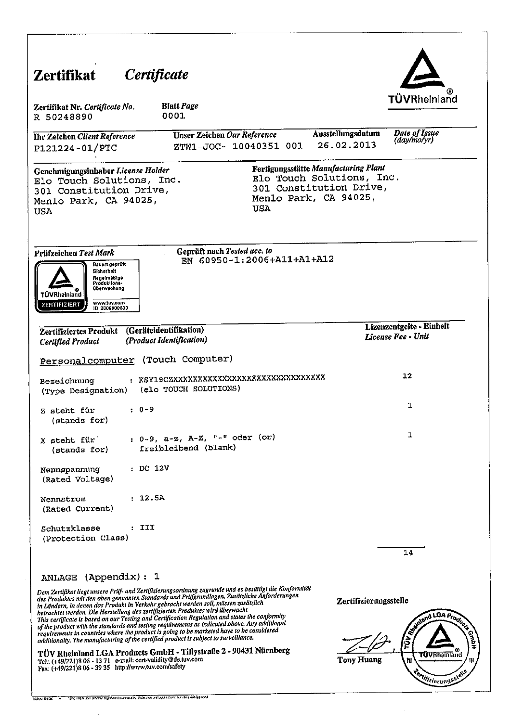|                                                                                                                                                                                                                                                                                                                                                                                                                                                                                                                                                                                                                                                                                                                                                                            | Certificate                                                       |            |                                                                                                                       | <b>TÜVRheinland</b>                               |
|----------------------------------------------------------------------------------------------------------------------------------------------------------------------------------------------------------------------------------------------------------------------------------------------------------------------------------------------------------------------------------------------------------------------------------------------------------------------------------------------------------------------------------------------------------------------------------------------------------------------------------------------------------------------------------------------------------------------------------------------------------------------------|-------------------------------------------------------------------|------------|-----------------------------------------------------------------------------------------------------------------------|---------------------------------------------------|
| Zertifikat Nr. Certificate No.<br>R 50248890                                                                                                                                                                                                                                                                                                                                                                                                                                                                                                                                                                                                                                                                                                                               | <b>Blatt Page</b><br>0001                                         |            |                                                                                                                       |                                                   |
| <b>Thr Zeichen Client Reference</b><br>P121224-01/PTC                                                                                                                                                                                                                                                                                                                                                                                                                                                                                                                                                                                                                                                                                                                      | Unser Zeichen Our Reference<br>ZTW1-JOC- 10040351 001             |            | Ausstellungsdatum<br>26.02.2013                                                                                       | Date of Issue<br>(day/mo/yr)                      |
| Genehmigungsinhaber License Holder<br>Elo Touch Solutions, Inc.<br>301 Constitution Drive,<br>Menlo Park, CA 94025,<br>USA                                                                                                                                                                                                                                                                                                                                                                                                                                                                                                                                                                                                                                                 |                                                                   | <b>USA</b> | Fertigungsstätte Manufacturing Plant<br>Elo Touch Solutions, Inc.<br>301 Constitution Drive,<br>Menlo Park, CA 94025, |                                                   |
| Prüfzeichen Test Mark<br>Bauert geprüft<br>Sicherheit<br>Regelmäßige<br>Produktions-<br><b>Oberwachung</b><br><b>TÜV</b> Rheinland<br>www.tuv.com<br>ZERTIFIZIERT<br>ID 2000000000                                                                                                                                                                                                                                                                                                                                                                                                                                                                                                                                                                                         | Geprüft nach Tested acc. to<br>EN 60950-1:2006+A11+A1+A12         |            |                                                                                                                       |                                                   |
| Zertifiziertes Produkt<br>Certified Product                                                                                                                                                                                                                                                                                                                                                                                                                                                                                                                                                                                                                                                                                                                                | (Geräteldentifikation)<br>(Product Identification)                |            |                                                                                                                       | Lizenzentgelte - Einheit<br>License Fee - Unit    |
| Personalcomputer (Touch Computer)                                                                                                                                                                                                                                                                                                                                                                                                                                                                                                                                                                                                                                                                                                                                          |                                                                   |            |                                                                                                                       |                                                   |
| Bezeichnung<br>(Type Designation)                                                                                                                                                                                                                                                                                                                                                                                                                                                                                                                                                                                                                                                                                                                                          | : ESY19CZXXXXXXXXXXXXXXXXXXXXXXXXXXXXXX<br>(elo TOUCH SOLUTIONS)  |            |                                                                                                                       | 12 <sub>2</sub>                                   |
| $\cdot$ 0-9<br>Z steht für<br>(stands for)                                                                                                                                                                                                                                                                                                                                                                                                                                                                                                                                                                                                                                                                                                                                 |                                                                   |            |                                                                                                                       | 1                                                 |
| X steht für<br>(stands for)                                                                                                                                                                                                                                                                                                                                                                                                                                                                                                                                                                                                                                                                                                                                                | : $0-9$ , $a-z$ , $A-Z$ , $n-H$ oder (or)<br>freibleibend (blank) |            |                                                                                                                       | 1                                                 |
| : DC 12V<br>Nennspannung<br>(Rated Voltage)                                                                                                                                                                                                                                                                                                                                                                                                                                                                                                                                                                                                                                                                                                                                |                                                                   |            |                                                                                                                       |                                                   |
| : 12.5A<br>Nennstrom<br>(Rated Current)                                                                                                                                                                                                                                                                                                                                                                                                                                                                                                                                                                                                                                                                                                                                    |                                                                   |            |                                                                                                                       |                                                   |
| : III<br>Schutzklasse<br>(Protection Class)                                                                                                                                                                                                                                                                                                                                                                                                                                                                                                                                                                                                                                                                                                                                |                                                                   |            |                                                                                                                       | 14                                                |
| ANLAGE (Appendix): 1                                                                                                                                                                                                                                                                                                                                                                                                                                                                                                                                                                                                                                                                                                                                                       |                                                                   |            |                                                                                                                       |                                                   |
| Dem Zertifikat liegt unsere Prüf- und Zertifizierungsordnung zugrunde und es bestätigt die Konformität<br>des Produktes mit den oben genannten Standards und Pritfgrundlagen. Zusätzliche Änforderungen<br>in Ländern, in denen das Produkt in Verkehr gebracht werden soll, müssen zusätzlich<br>betrachtet werden. Die Herstellung des zertifizierten Produktes wird überwacht.<br>This certificate is based on our Testing and Certification Regulation and states the conformity<br>of the product with the standards and testing requirements as indicated above. Any additional<br>requirements in countries where the product is going to be marketed have to be considered<br>additionally. The manufacturing of the certified product is subject to surveillance. |                                                                   |            | Zertifizierungsstelle                                                                                                 | E MONTE LOA Products                              |
| TÜV Rheinland LGA Products GmbH - Tillystraße 2 - 90431 Nürnberg<br>Tel.: (+49/221)8 06 - 13 71 e-mail: cert-validity@de.tuv.com<br>Fax: (+49/221)8 06 - 39 35 http://www.tuv.com/safety                                                                                                                                                                                                                                                                                                                                                                                                                                                                                                                                                                                   |                                                                   |            | <b>Tony Huang</b>                                                                                                     | <b>TÜVRheinland</b><br>ħł<br>entilizierungsstelle |

 $\hat{\mathcal{A}}$ 

.,

 $\sim$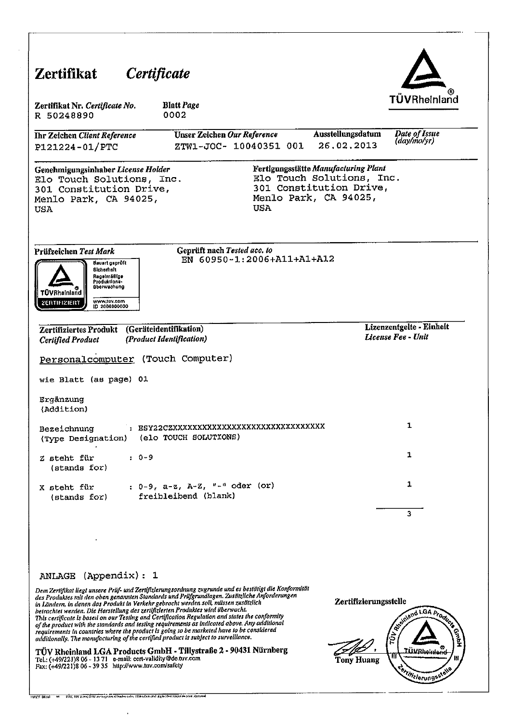| Zertifikat                                                                                                                                                                                                                | <i>Certificate</i>                                                                                                                                                                                                                                                                                                                                                                                                                                                                                                                                                                                                                                                                                                                                                         |            |                                                                                                                       |                                                |
|---------------------------------------------------------------------------------------------------------------------------------------------------------------------------------------------------------------------------|----------------------------------------------------------------------------------------------------------------------------------------------------------------------------------------------------------------------------------------------------------------------------------------------------------------------------------------------------------------------------------------------------------------------------------------------------------------------------------------------------------------------------------------------------------------------------------------------------------------------------------------------------------------------------------------------------------------------------------------------------------------------------|------------|-----------------------------------------------------------------------------------------------------------------------|------------------------------------------------|
| Zertifikat Nr. Certificate No.<br>R 50248890                                                                                                                                                                              | <b>Blatt Page</b><br>0002                                                                                                                                                                                                                                                                                                                                                                                                                                                                                                                                                                                                                                                                                                                                                  |            |                                                                                                                       | TÜVRheinland                                   |
| Ihr Zeichen Client Reference<br>P121224-01/PTC                                                                                                                                                                            | Unser Zeichen Our Reference<br>ZTW1-JOC- 10040351 001                                                                                                                                                                                                                                                                                                                                                                                                                                                                                                                                                                                                                                                                                                                      |            | Ausstellungsdatum<br>26.02.2013                                                                                       | Date of Issue<br>(day/molyr)                   |
| Genehmigungsinhaber License Holder<br>Elo Touch Solutions, Inc.<br>301 Constitution Drive,<br>Menlo Park, CA 94025,<br><b>USA</b>                                                                                         |                                                                                                                                                                                                                                                                                                                                                                                                                                                                                                                                                                                                                                                                                                                                                                            | <b>USA</b> | Fertigungsstätte Manufacturing Plant<br>Elo Touch Solutions, Inc.<br>301 Constitution Drive,<br>Menlo Park, CA 94025, |                                                |
| Prüfzeichen Test Mark<br>Bauart geprûft<br>Sicherheit<br>Regelmäßīge<br>Produktions-<br>überwachung<br>TÜVRheinland<br>www.tov.com<br>ZERTIFIZIERT<br>ID 2000000000                                                       | Geprüft nach Tested acc. to<br>EN 60950-1:2006+A11+A1+A12                                                                                                                                                                                                                                                                                                                                                                                                                                                                                                                                                                                                                                                                                                                  |            |                                                                                                                       |                                                |
| Zertifiziertes Produkt<br><b>Certified Product</b>                                                                                                                                                                        | (Geräteidentifikation)<br>(Product Identification)                                                                                                                                                                                                                                                                                                                                                                                                                                                                                                                                                                                                                                                                                                                         |            |                                                                                                                       | Lizenzentgelte - Einheit<br>License Fee - Unit |
|                                                                                                                                                                                                                           | Personalcomputer (Touch Computer)                                                                                                                                                                                                                                                                                                                                                                                                                                                                                                                                                                                                                                                                                                                                          |            |                                                                                                                       |                                                |
| wie Blatt (as page) 01                                                                                                                                                                                                    |                                                                                                                                                                                                                                                                                                                                                                                                                                                                                                                                                                                                                                                                                                                                                                            |            |                                                                                                                       |                                                |
| Ergänzung<br>(Addition)                                                                                                                                                                                                   |                                                                                                                                                                                                                                                                                                                                                                                                                                                                                                                                                                                                                                                                                                                                                                            |            |                                                                                                                       |                                                |
| Bezeichnung<br>(Type Designation)                                                                                                                                                                                         | : BSY22CZXXXXXXXXXXXXXXXXXXXXXXXXXXXXXX<br>(elo TOUCH SOLUTIONS)                                                                                                                                                                                                                                                                                                                                                                                                                                                                                                                                                                                                                                                                                                           |            |                                                                                                                       | 1                                              |
| Z steht für<br>$(\text{stands}~\text{for})$                                                                                                                                                                               | : 0-9                                                                                                                                                                                                                                                                                                                                                                                                                                                                                                                                                                                                                                                                                                                                                                      |            |                                                                                                                       | 1                                              |
| X steht für<br>(stands for)                                                                                                                                                                                               | : $0-9$ , $a-z$ , $A-Z$ , $"$ -" oder (or)<br>freibleibend (blank)                                                                                                                                                                                                                                                                                                                                                                                                                                                                                                                                                                                                                                                                                                         |            |                                                                                                                       | 1                                              |
|                                                                                                                                                                                                                           |                                                                                                                                                                                                                                                                                                                                                                                                                                                                                                                                                                                                                                                                                                                                                                            |            |                                                                                                                       | 3                                              |
|                                                                                                                                                                                                                           |                                                                                                                                                                                                                                                                                                                                                                                                                                                                                                                                                                                                                                                                                                                                                                            |            |                                                                                                                       |                                                |
| ANLAGE (Appendix): 1                                                                                                                                                                                                      |                                                                                                                                                                                                                                                                                                                                                                                                                                                                                                                                                                                                                                                                                                                                                                            |            |                                                                                                                       |                                                |
|                                                                                                                                                                                                                           | Dem Zertifikat liegt unsere Priif- und Zertifizierungsordnung zugrunde und es bestätigt die Konformität<br>des Produktes mit den oben genannten Standards und Prüfgrundlagen. Zusätzliche Anforderungen<br>in Ländern, in denen das Produkt in Verkehr gebracht werden soll, müssen zusätzlich<br>betrachtet werden. Die Herstellung des zertifizierten Produktes wird überwacht.<br>This certificate is based on our Testing and Certification Regulation and states the conformity<br>of the product with the standards and testing requirements as indicated above. Any additional<br>requirements in countries where the product is going to be marketed have to be considered<br>additionally. The manufacturing of the certified product is subject to surveillance. |            | Zertifizierungsstelle                                                                                                 | RESIDENCE LGA Progress                         |
| Tel.: (+49/221)8 06 - 13 71 e-mail: cert-validity@de.tuv.com<br>Fax: (+49/221)8 06 - 39 35 http://www.tuv.com/safety<br>HWENT DATES - 99 - TER, THE VITAL ETCHNOLOGY PRODUCES EXPLORED TO A CONSTRUCTION CONTACT THE TERR | TÜV Rheinland LGA Products GmbH - Tillystraße 2 - 90431 Nürnberg                                                                                                                                                                                                                                                                                                                                                                                                                                                                                                                                                                                                                                                                                                           |            | <b>Tony Huang</b>                                                                                                     | TÜVRheinlend<br>exiliziorungsstelle            |

 $\bar{z}$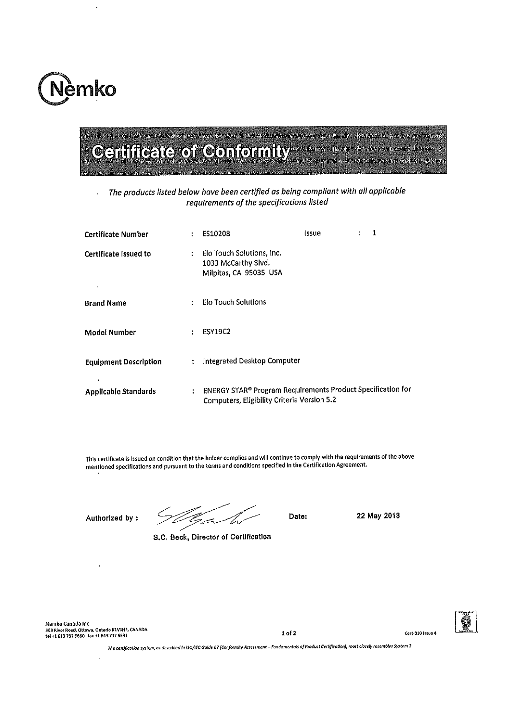

The products listed below have been certified as being compliant with all applicable  $\bar{1}$ requirements of the specifications listed

| <b>Certificate Number</b>                |              | ES10208                                                                                                    | lssue | ÷ | 1 |
|------------------------------------------|--------------|------------------------------------------------------------------------------------------------------------|-------|---|---|
| Certificate Issued to                    | $\mathbf{r}$ | Elo Touch Solutions, Inc.<br>1033 McCarthy Blvd.<br>Milpitas, CA 95035 USA                                 |       |   |   |
| <b>Brand Name</b>                        | ÷.           | <b>Elo Touch Solutions</b>                                                                                 |       |   |   |
| Model Number                             |              | <b>ESY19C2</b>                                                                                             |       |   |   |
| <b>Equipment Description</b>             |              | <b>Integrated Desktop Computer</b>                                                                         |       |   |   |
| $\bullet$<br><b>Applicable Standards</b> | ÷            | ENERGY STAR® Program Requirements Product Specification for<br>Computers, Eligibility Criteria Version 5.2 |       |   |   |

This certificate is issued on condition that the holder complies and will continue to comply with the requirements of the above mentioned specifications and pursuant to the terms and conditions specified in the Certification Agreement.

Authorized by:

S.C. Beck, Director of Certification

Date:

22 May 2013

Nemko Canada Inc 

 $1 of 2$ 



The certification system, as described in ISO/IEC Guide 67 (Conformity Assessment – Fundamentols of Product Certification), most closely resembles System 2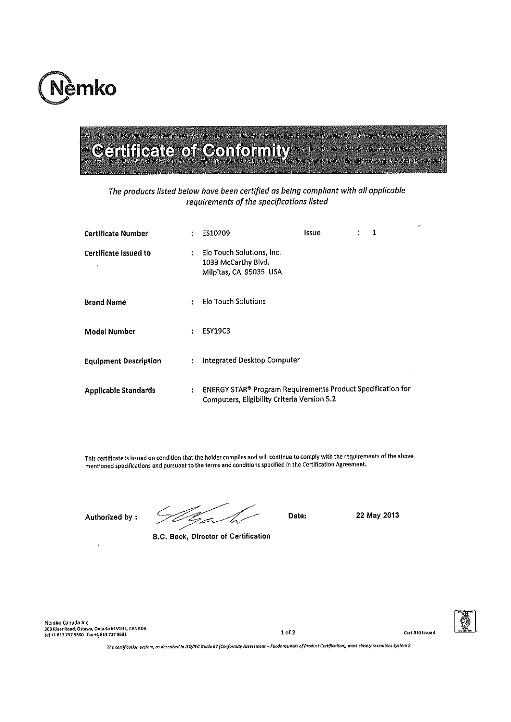

The products listed below have been certified as being compliant with all applicable requirements of the specifications listed

| <b>Certificate Number</b>    |    | ES10209                                                                                                    | Issue | ٠ | 1 |
|------------------------------|----|------------------------------------------------------------------------------------------------------------|-------|---|---|
| Certificate Issued to        | ÷  | Elo Touch Solutions, Inc.<br>1033 McCarthy Blvd.<br>Milpitas, CA 95035 USA                                 |       |   |   |
| <b>Brand Name</b>            | ÷  | <b>Elo Touch Solutions</b>                                                                                 |       |   |   |
| <b>Model Number</b>          | ÷  | <b>ESY19C3</b>                                                                                             |       |   |   |
| <b>Equipment Description</b> | ÷  | <b>Integrated Desktop Computer</b>                                                                         |       |   |   |
| <b>Applicable Standards</b>  | ÷. | ENERGY STAR® Program Requirements Product Specification for<br>Computers, Eligibility Criteria Version 5.2 |       |   |   |

This certificate is issued on condition that the holder complies and will continue to comply with the requirements of the above mentioned specifications and pursuant to the terms and conditions specified in the Certification Agreement.

Authorized by:

S.C. Beck, Director of Certification

Date:

22 May 2013

Nemko Canada Inc<br>303 River Road, Ottawa, Ontario K1V1H2, CANADA<br>tel +1 613 737 9680 fax +1<sub>,</sub> 613 737 9691

 $1 of 2$ 



The certification system, as described in ISO/IEC Guide 67 (Conformity Assessment - Fundomentals of Product Certification), most closely resembles System 2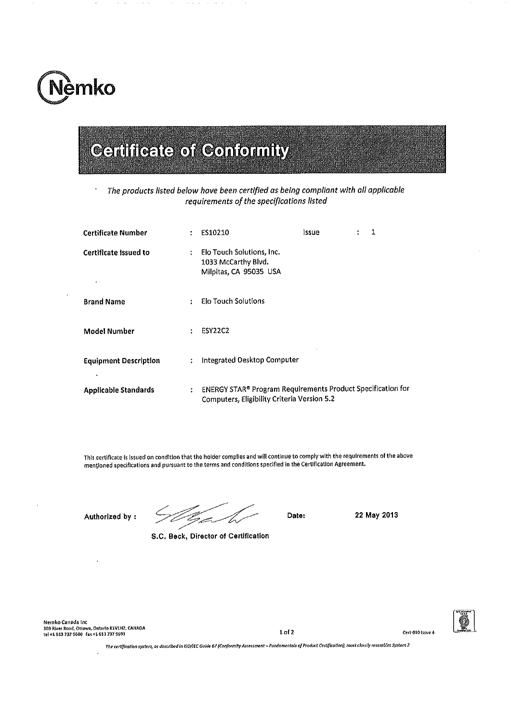

The products listed below have been certified as being compliant with all applicable requirements of the specifications listed

| <b>Certificate Number</b>    | $\ddot{\phantom{a}}$ | ES10210                                                                                                    | Issue | ÷ | 1 |
|------------------------------|----------------------|------------------------------------------------------------------------------------------------------------|-------|---|---|
| Certificate Issued to        | ÷                    | Elo Touch Solutions, Inc.<br>1033 McCarthy Blvd.<br>Milpitas, CA 95035 USA                                 |       |   |   |
| <b>Brand Name</b>            |                      | Elo Touch Solutions                                                                                        |       |   |   |
| <b>Model Number</b>          | ÷                    | <b>ESY22C2</b>                                                                                             |       |   |   |
| <b>Equipment Description</b> | ÷                    | Integrated Desktop Computer                                                                                |       |   |   |
| <b>Applicable Standards</b>  | ÷                    | ENERGY STAR® Program Requirements Product Specification for<br>Computers, Eligibility Criteria Version 5.2 |       |   |   |

This certificate is issued on condition that the holder complies and will continue to comply with the requirements of the above mentioned specifications and pursuant to the terms and conditions specified in the Certification Agreement.

Authorized by:

S.C. Beck, Director of Certification

Date:

22 May 2013

Nemko Canada Inc 303 River Road, Ottawa, Ontario K1V1H2, CANADA<br>tel +1 613 737 9680 fax +1 613 737 9691

 $1 of 2$ 



The certification system, as described in ISO/IEC Guide 67 (Conformity Assessment - Fundamentals of Product Certification), most closely resembles System 2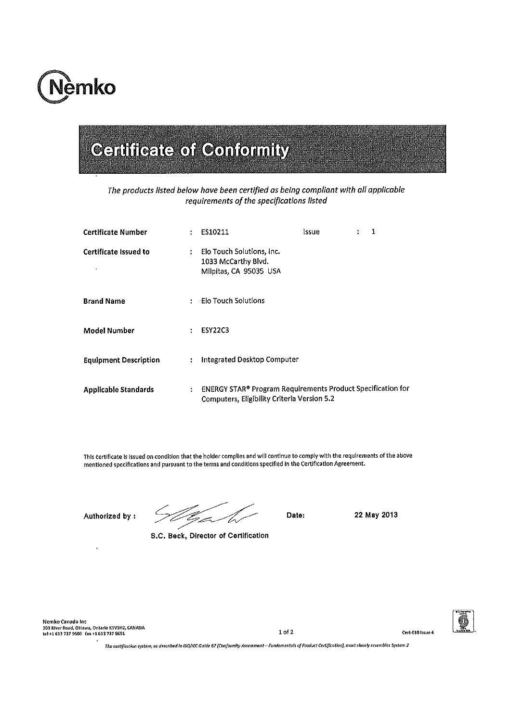

The products listed below have been certified as being compliant with all applicable requirements of the specifications listed

| <b>Certificate Number</b>    | ÷                    | ES10211                                                                                                           | issue | ÷ | 1 |
|------------------------------|----------------------|-------------------------------------------------------------------------------------------------------------------|-------|---|---|
| <b>Certificate Issued to</b> | $\ddot{\cdot}$       | Elo Touch Solutions, Inc.<br>1033 McCarthy Blvd.<br>Milpitas, CA 95035 USA                                        |       |   |   |
| <b>Brand Name</b>            |                      | - Elo Touch Solutions                                                                                             |       |   |   |
| <b>Model Number</b>          | ÷                    | <b>ESY22C3</b>                                                                                                    |       |   |   |
| <b>Equipment Description</b> | $\ddot{\phantom{a}}$ | <b>Integrated Desktop Computer</b>                                                                                |       |   |   |
| <b>Applicable Standards</b>  | ÷                    | ENERGY STAR® Program Requirements Product Specification for<br><b>Computers, Eligibility Criteria Version 5.2</b> |       |   |   |

This certificate is issued on condition that the holder complies and will continue to comply with the requirements of the above mentioned specifications and pursuant to the terms and conditions specified in the Certification Agreement.

Authorized by:

C.<br>Grav

S.C. Beck, Director of Certification

Date:

22 May 2013

Nemko Canada Inc 303 River Road, Ottawa, Ontario K1V1H2, CANADA<br>tel +1 613 737 9680 fax +1 613 737 9691

 $1 of 2$ 



The certification system, as described in ISO/IEC Guide 67 (Conformity Assessment -- Fundamentals of Product Certification), most closely resembles System 2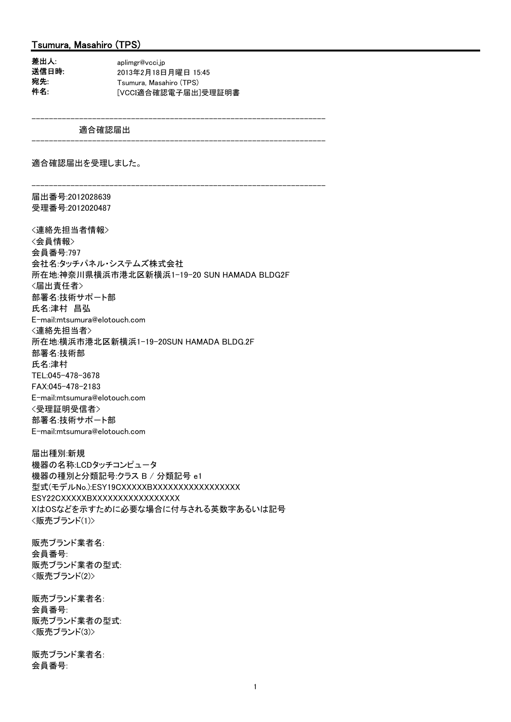### Tsumura, Masahiro (TPS)

| 差出人:  | aplimgr@vcci.jp         |
|-------|-------------------------|
| 送信日時. | 2013年2月18日月曜日 15:45     |
| 宛先:   | Tsumura, Masahiro (TPS) |
| 件名:   | 「VCCI適合確認電子届出1受理証明書     |

適合確認届出

--------------------------------------------------------------------

--------------------------------------------------------------------

適合確認届出を受理しました。

-------------------------------------------------------------------- 届出番号:2012028639 受理番号:2012020487

<連絡先担当者情報> <会員情報> 会員番号:797 会社名:タッチパネル・システムズ株式会社 所在地:神奈川県横浜市港北区新横浜1-19-20 SUN HAMADA BLDG2F <届出責任者> 部署名:技術サポ-ト部 氏名:津村 昌弘 E-mail:mtsumura@elotouch.com <連絡先担当者> 所在地:横浜市港北区新横浜1-19-20SUN HAMADA BLDG.2F 部署名:技術部 氏名:津村 TEL:045-478-3678 FAX:045-478-2183 E-mail:mtsumura@elotouch.com <受理証明受信者> 部署名:技術サポ-ト部 E-mail:mtsumura@elotouch.com

届出種別:新規 機器の名称:LCDタッチコンピュータ 機器の種別と分類記号:クラス B / 分類記号 e1 型式(モデルNo.):ESY19CXXXXXBXXXXXXXXXXXXXXXXXX ESY22CXXXXXBXXXXXXXXXXXXXXXXX XはOSなどを示すために必要な場合に付与される英数字あるいは記号 <販売ブランド(1)>

販売ブランド業者名: 会員番号: 販売ブランド業者の型式: <販売ブランド(2)>

販売ブランド業者名: 会員番号: 販売ブランド業者の型式: <販売ブランド(3)>

販売ブランド業者名: 会員番号: